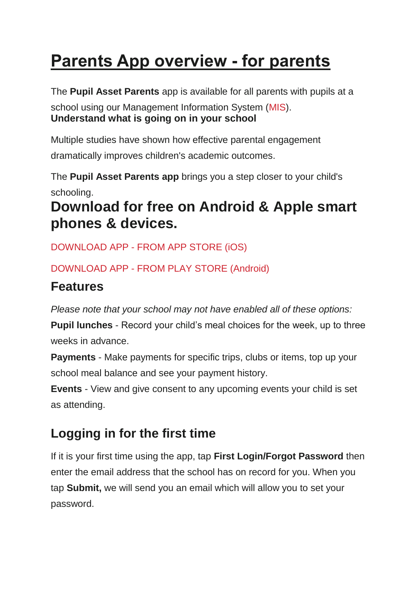# **Parents App overview - for parents**

The **Pupil Asset Parents** app is available for all parents with pupils at a

school using our Management Information System [\(MIS\)](https://www.pupilasset.com/mis). **Understand what is going on in your school**

Multiple studies have shown how effective parental engagement dramatically improves children's academic outcomes.

The **Pupil Asset Parents app** brings you a step closer to your child's schooling.

## **Download for free on Android & Apple smart phones & devices.**

DOWNLOAD APP - [FROM APP STORE \(iOS\)](https://apps.apple.com/gb/app/pupil-asset-parent-app/id1490994393)

### DOWNLOAD APP - [FROM PLAY STORE \(Android\)](https://play.google.com/store/apps/details?id=com.rnparentapp)

## **Features**

*Please note that your school may not have enabled all of these options:*

**Pupil lunches** - Record your child's meal choices for the week, up to three weeks in advance.

**Payments** - Make payments for specific trips, clubs or items, top up your school meal balance and see your payment history.

**Events** - View and give consent to any upcoming events your child is set as attending.

## **Logging in for the first time**

If it is your first time using the app, tap **First Login/Forgot Password** then enter the email address that the school has on record for you. When you tap **Submit,** we will send you an email which will allow you to set your password.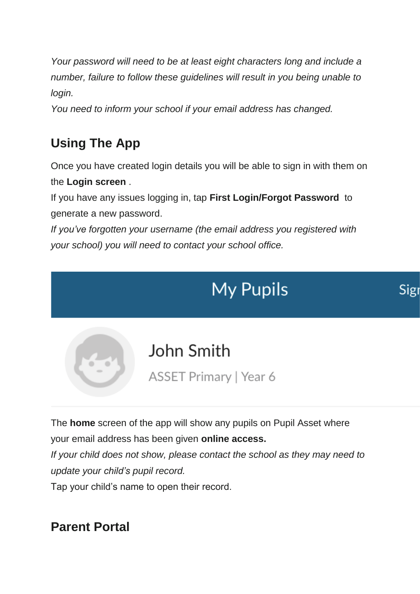*Your password will need to be at least eight characters long and include a number, failure to follow these guidelines will result in you being unable to login.*

*You need to inform your school if your email address has changed.*

## **Using The App**

Once you have created login details you will be able to sign in with them on the **Login screen** .

If you have any issues logging in, tap **First Login/Forgot Password** to generate a new password.

*If you've forgotten your username (the email address you registered with your school) you will need to contact your school office.*

# **My Pupils**



The **home** screen of the app will show any pupils on Pupil Asset where your email address has been given **online access.** *If your child does not show, please contact the school as they may need to update your child's pupil record.* Tap your child's name to open their record.

**Parent Portal**